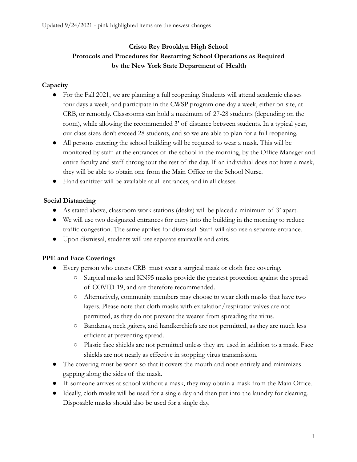# **Cristo Rey Brooklyn High School Protocols and Procedures for Restarting School Operations as Required by the New York State Department of Health**

## **Capacity**

- For the Fall 2021, we are planning a full reopening. Students will attend academic classes four days a week, and participate in the CWSP program one day a week, either on-site, at CRB, or remotely. Classrooms can hold a maximum of 27-28 students (depending on the room), while allowing the recommended 3' of distance between students. In a typical year, our class sizes don't exceed 28 students, and so we are able to plan for a full reopening.
- All persons entering the school building will be required to wear a mask. This will be monitored by staff at the entrances of the school in the morning, by the Office Manager and entire faculty and staff throughout the rest of the day. If an individual does not have a mask, they will be able to obtain one from the Main Office or the School Nurse.
- Hand sanitizer will be available at all entrances, and in all classes.

## **Social Distancing**

- As stated above, classroom work stations (desks) will be placed a minimum of 3' apart.
- We will use two designated entrances for entry into the building in the morning to reduce traffic congestion. The same applies for dismissal. Staff will also use a separate entrance.
- Upon dismissal, students will use separate stairwells and exits.

## **PPE and Face Coverings**

- Every person who enters CRB must wear a surgical mask or cloth face covering.
	- Surgical masks and KN95 masks provide the greatest protection against the spread of COVID-19, and are therefore recommended.
	- Alternatively, community members may choose to wear cloth masks that have two layers. Please note that cloth masks with exhalation/respirator valves are not permitted, as they do not prevent the wearer from spreading the virus.
	- Bandanas, neck gaiters, and handkerchiefs are not permitted, as they are much less efficient at preventing spread.
	- Plastic face shields are not permitted unless they are used in addition to a mask. Face shields are not nearly as effective in stopping virus transmission.
- The covering must be worn so that it covers the mouth and nose entirely and minimizes gapping along the sides of the mask.
- If someone arrives at school without a mask, they may obtain a mask from the Main Office.
- Ideally, cloth masks will be used for a single day and then put into the laundry for cleaning. Disposable masks should also be used for a single day.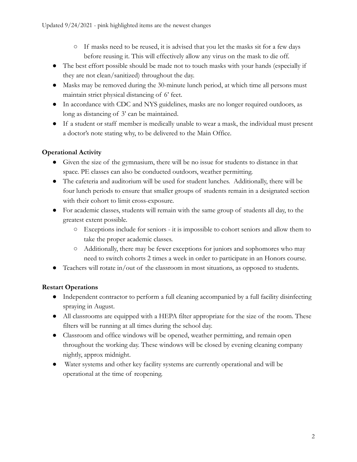- If masks need to be reused, it is advised that you let the masks sit for a few days before reusing it. This will effectively allow any virus on the mask to die off.
- The best effort possible should be made not to touch masks with your hands (especially if they are not clean/sanitized) throughout the day.
- Masks may be removed during the 30-minute lunch period, at which time all persons must maintain strict physical distancing of 6' feet.
- In accordance with CDC and NYS guidelines, masks are no longer required outdoors, as long as distancing of 3' can be maintained.
- If a student or staff member is medically unable to wear a mask, the individual must present a doctor's note stating why, to be delivered to the Main Office.

# **Operational Activity**

- Given the size of the gymnasium, there will be no issue for students to distance in that space. PE classes can also be conducted outdoors, weather permitting.
- The cafeteria and auditorium will be used for student lunches. Additionally, there will be four lunch periods to ensure that smaller groups of students remain in a designated section with their cohort to limit cross-exposure.
- For academic classes, students will remain with the same group of students all day, to the greatest extent possible.
	- Exceptions include for seniors it is impossible to cohort seniors and allow them to take the proper academic classes.
	- Additionally, there may be fewer exceptions for juniors and sophomores who may need to switch cohorts 2 times a week in order to participate in an Honors course.
- Teachers will rotate in/out of the classroom in most situations, as opposed to students.

# **Restart Operations**

- Independent contractor to perform a full cleaning accompanied by a full facility disinfecting spraying in August.
- All classrooms are equipped with a HEPA filter appropriate for the size of the room. These filters will be running at all times during the school day.
- Classroom and office windows will be opened, weather permitting, and remain open throughout the working day. These windows will be closed by evening cleaning company nightly, approx midnight.
- Water systems and other key facility systems are currently operational and will be operational at the time of reopening.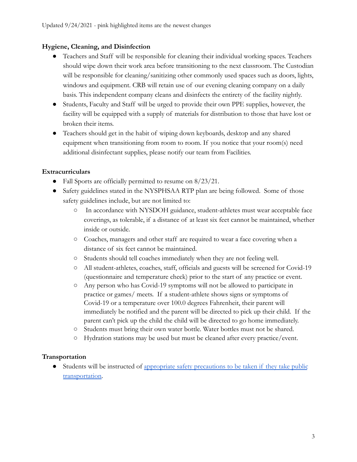#### **Hygiene, Cleaning, and Disinfection**

- Teachers and Staff will be responsible for cleaning their individual working spaces. Teachers should wipe down their work area before transitioning to the next classroom. The Custodian will be responsible for cleaning/sanitizing other commonly used spaces such as doors, lights, windows and equipment. CRB will retain use of our evening cleaning company on a daily basis. This independent company cleans and disinfects the entirety of the facility nightly.
- Students, Faculty and Staff will be urged to provide their own PPE supplies, however, the facility will be equipped with a supply of materials for distribution to those that have lost or broken their items.
- Teachers should get in the habit of wiping down keyboards, desktop and any shared equipment when transitioning from room to room. If you notice that your room(s) need additional disinfectant supplies, please notify our team from Facilities.

#### **Extracurriculars**

- Fall Sports are officially permitted to resume on  $8/23/21$ .
- Safety guidelines stated in the NYSPHSAA RTP plan are being followed. Some of those safety guidelines include, but are not limited to:
	- In accordance with NYSDOH guidance, student-athletes must wear acceptable face coverings, as tolerable, if a distance of at least six feet cannot be maintained, whether inside or outside.
	- Coaches, managers and other staff are required to wear a face covering when a distance of six feet cannot be maintained.
	- Students should tell coaches immediately when they are not feeling well.
	- All student-athletes, coaches, staff, officials and guests will be screened for Covid-19 (questionnaire and temperature check) prior to the start of any practice or event.
	- Any person who has Covid-19 symptoms will not be allowed to participate in practice or games/ meets. If a student-athlete shows signs or symptoms of Covid-19 or a temperature over 100.0 degrees Fahrenheit, their parent will immediately be notified and the parent will be directed to pick up their child. If the parent can't pick up the child the child will be directed to go home immediately.
	- Students must bring their own water bottle. Water bottles must not be shared.
	- Hydration stations may be used but must be cleaned after every practice/event.

#### **Transportation**

● Students will be instructed of appropriate safety [precautions to be taken if they take public](https://new.mta.info/guides/coronavirus/traveling-safely) [transportation](https://new.mta.info/guides/coronavirus/traveling-safely).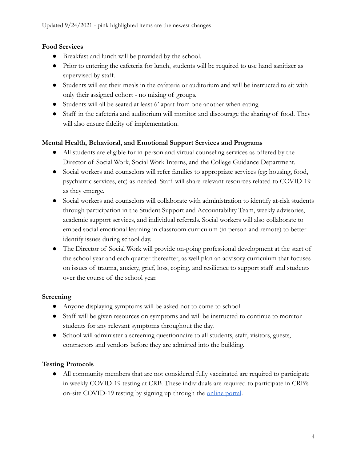#### **Food Services**

- Breakfast and lunch will be provided by the school.
- Prior to entering the cafeteria for lunch, students will be required to use hand sanitizer as supervised by staff.
- Students will eat their meals in the cafeteria or auditorium and will be instructed to sit with only their assigned cohort - no mixing of groups.
- Students will all be seated at least 6' apart from one another when eating.
- Staff in the cafeteria and auditorium will monitor and discourage the sharing of food. They will also ensure fidelity of implementation.

#### **Mental Health, Behavioral, and Emotional Support Services and Programs**

- All students are eligible for in-person and virtual counseling services as offered by the Director of Social Work, Social Work Interns, and the College Guidance Department.
- Social workers and counselors will refer families to appropriate services (eg: housing, food, psychiatric services, etc) as-needed. Staff will share relevant resources related to COVID-19 as they emerge.
- Social workers and counselors will collaborate with administration to identify at-risk students through participation in the Student Support and Accountability Team, weekly advisories, academic support services, and individual referrals. Social workers will also collaborate to embed social emotional learning in classroom curriculum (in person and remote) to better identify issues during school day.
- The Director of Social Work will provide on-going professional development at the start of the school year and each quarter thereafter, as well plan an advisory curriculum that focuses on issues of trauma, anxiety, grief, loss, coping, and resilience to support staff and students over the course of the school year.

## **Screening**

- Anyone displaying symptoms will be asked not to come to school.
- Staff will be given resources on symptoms and will be instructed to continue to monitor students for any relevant symptoms throughout the day.
- School will administer a screening questionnaire to all students, staff, visitors, guests, contractors and vendors before they are admitted into the building.

## **Testing Protocols**

● All community members that are not considered fully vaccinated are required to participate in weekly COVID-19 testing at CRB. These individuals are required to participate in CRB's on-site COVID-19 testing by signing up through the [online portal](https://backtoworksolutions.com/CristoReySchool.html).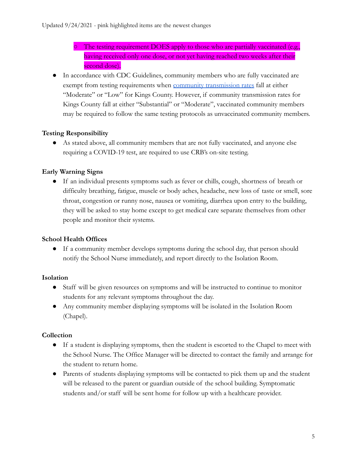- The testing requirement DOES apply to those who are partially vaccinated (e.g., having received only one dose, or not yet having reached two weeks after their second dose).
- In accordance with CDC Guidelines, community members who are fully vaccinated are exempt from testing requirements when [community transmission](https://covid.cdc.gov/covid-data-tracker/index.html#county-view) rates fall at either "Moderate" or "Low" for Kings County. However, if community transmission rates for Kings County fall at either "Substantial" or "Moderate", vaccinated community members may be required to follow the same testing protocols as unvaccinated community members.

#### **Testing Responsibility**

● As stated above, all community members that are not fully vaccinated, and anyone else requiring a COVID-19 test, are required to use CRB's on-site testing.

#### **Early Warning Signs**

● If an individual presents symptoms such as fever or chills, cough, shortness of breath or difficulty breathing, fatigue, muscle or body aches, headache, new loss of taste or smell, sore throat, congestion or runny nose, nausea or vomiting, diarrhea upon entry to the building, they will be asked to stay home except to get medical care separate themselves from other people and monitor their systems.

## **School Health Offices**

● If a community member develops symptoms during the school day, that person should notify the School Nurse immediately, and report directly to the Isolation Room.

#### **Isolation**

- Staff will be given resources on symptoms and will be instructed to continue to monitor students for any relevant symptoms throughout the day.
- Any community member displaying symptoms will be isolated in the Isolation Room (Chapel).

#### **Collection**

- If a student is displaying symptoms, then the student is escorted to the Chapel to meet with the School Nurse. The Office Manager will be directed to contact the family and arrange for the student to return home.
- Parents of students displaying symptoms will be contacted to pick them up and the student will be released to the parent or guardian outside of the school building. Symptomatic students and/or staff will be sent home for follow up with a healthcare provider.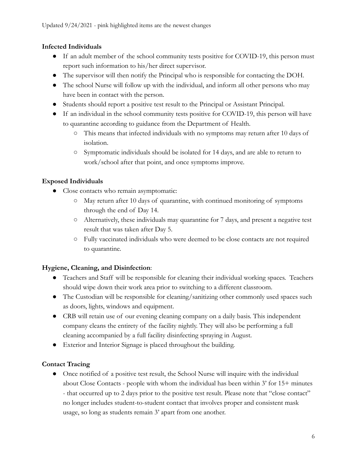#### **Infected Individuals**

- If an adult member of the school community tests positive for COVID-19, this person must report such information to his/her direct supervisor.
- The supervisor will then notify the Principal who is responsible for contacting the DOH.
- The school Nurse will follow up with the individual, and inform all other persons who may have been in contact with the person.
- Students should report a positive test result to the Principal or Assistant Principal.
- If an individual in the school community tests positive for COVID-19, this person will have to quarantine according to guidance from the Department of Health.
	- This means that infected individuals with no symptoms may return after 10 days of isolation.
	- Symptomatic individuals should be isolated for 14 days, and are able to return to work/school after that point, and once symptoms improve.

## **Exposed Individuals**

- Close contacts who remain asymptomatic:
	- May return after 10 days of quarantine, with continued monitoring of symptoms through the end of Day 14.
	- Alternatively, these individuals may quarantine for 7 days, and present a negative test result that was taken after Day 5.
	- Fully vaccinated individuals who were deemed to be close contacts are not required to quarantine.

## **Hygiene, Cleaning, and Disinfection**:

- Teachers and Staff will be responsible for cleaning their individual working spaces. Teachers should wipe down their work area prior to switching to a different classroom.
- The Custodian will be responsible for cleaning/sanitizing other commonly used spaces such as doors, lights, windows and equipment.
- CRB will retain use of our evening cleaning company on a daily basis. This independent company cleans the entirety of the facility nightly. They will also be performing a full cleaning accompanied by a full facility disinfecting spraying in August.
- Exterior and Interior Signage is placed throughout the building.

## **Contact Tracing**

• Once notified of a positive test result, the School Nurse will inquire with the individual about Close Contacts - people with whom the individual has been within 3' for 15+ minutes - that occurred up to 2 days prior to the positive test result. Please note that "close contact" no longer includes student-to-student contact that involves proper and consistent mask usage, so long as students remain 3' apart from one another.